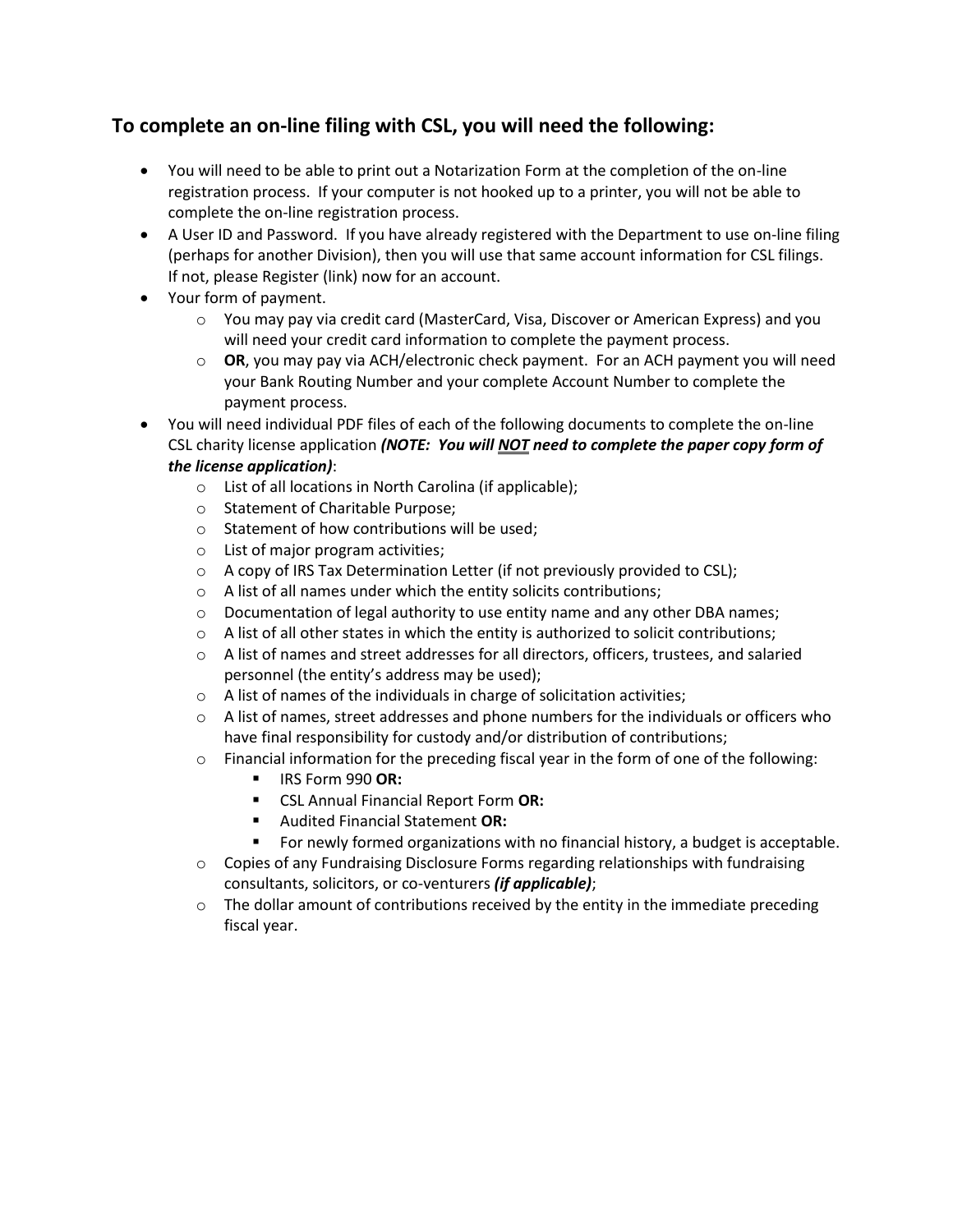## **To complete an on-line filing with CSL, you will need the following:**

- You will need to be able to print out a Notarization Form at the completion of the on-line registration process. If your computer is not hooked up to a printer, you will not be able to complete the on-line registration process.
- A User ID and Password. If you have already registered with the Department to use on-line filing (perhaps for another Division), then you will use that same account information for CSL filings. If not, please Register (link) now for an account.
- Your form of payment.
	- o You may pay via credit card (MasterCard, Visa, Discover or American Express) and you will need your credit card information to complete the payment process.
	- o **OR**, you may pay via ACH/electronic check payment. For an ACH payment you will need your Bank Routing Number and your complete Account Number to complete the payment process.
- You will need individual PDF files of each of the following documents to complete the on-line CSL charity license application *(NOTE: You will NOT need to complete the paper copy form of the license application)*:
	- o List of all locations in North Carolina (if applicable);
	- o Statement of Charitable Purpose;
	- o Statement of how contributions will be used;
	- o List of major program activities;
	- $\circ$  A copy of IRS Tax Determination Letter (if not previously provided to CSL);
	- o A list of all names under which the entity solicits contributions;
	- o Documentation of legal authority to use entity name and any other DBA names;
	- $\circ$  A list of all other states in which the entity is authorized to solicit contributions;
	- $\circ$  A list of names and street addresses for all directors, officers, trustees, and salaried personnel (the entity's address may be used);
	- o A list of names of the individuals in charge of solicitation activities;
	- $\circ$  A list of names, street addresses and phone numbers for the individuals or officers who have final responsibility for custody and/or distribution of contributions;
	- $\circ$  Financial information for the preceding fiscal year in the form of one of the following:
		- IRS Form 990 **OR:**
		- CSL Annual Financial Report Form **OR:**
		- Audited Financial Statement **OR:**
		- For newly formed organizations with no financial history, a budget is acceptable.
	- $\circ$  Copies of any Fundraising Disclosure Forms regarding relationships with fundraising consultants, solicitors, or co-venturers *(if applicable)*;
	- $\circ$  The dollar amount of contributions received by the entity in the immediate preceding fiscal year.